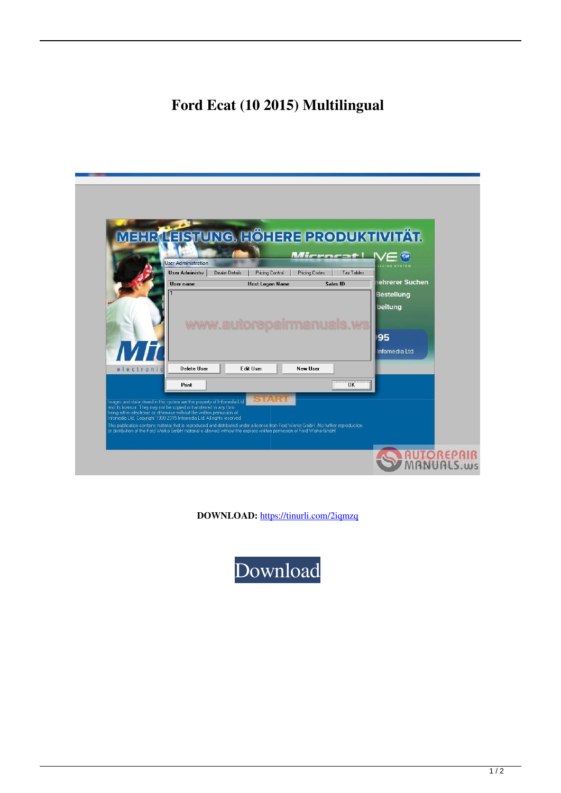## **Ford Ecat (10 2015) Multilingual**

|            | <b>User Administration</b><br>User Administra | MEHR LEISTUNG. HÖHERE PRODUKTIVITÄT.<br><b>Pricing Control</b><br>Dealer Details | Mirrorat IVE (x)<br>Tax Tables<br><b>Pricing Codes</b> | LLING SYSTEM                 |
|------------|-----------------------------------------------|----------------------------------------------------------------------------------|--------------------------------------------------------|------------------------------|
|            | User name                                     | <b>Host Logon Name</b>                                                           | Sales ID                                               | ehrerer Suchen               |
|            |                                               |                                                                                  |                                                        | <b>Bestellung</b><br>beitung |
|            |                                               | www.autorepairma                                                                 |                                                        |                              |
|            |                                               |                                                                                  |                                                        | 95                           |
| ПИГ        |                                               |                                                                                  |                                                        | Infomedia Ltd                |
| electronic | <b>Delete User</b>                            | <b>Edit User</b>                                                                 | New Ilser                                              |                              |
|            | Print                                         |                                                                                  | <b>OK</b>                                              |                              |
|            |                                               | Images and data stored in this system are the property of Infomedia Ltd          |                                                        |                              |

**DOWNLOAD:** <https://tinurli.com/2iqmzq>